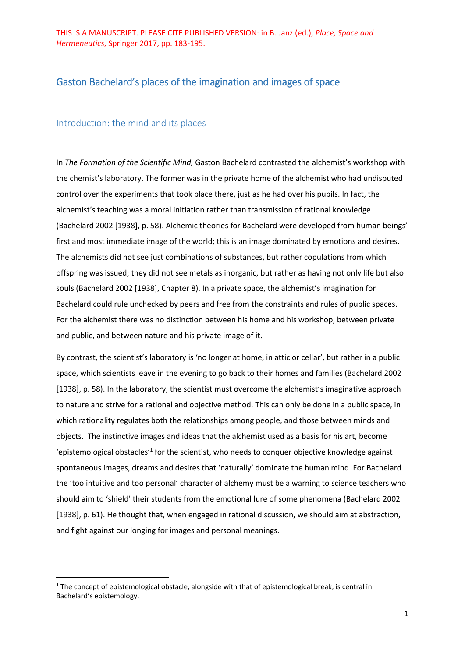# Gaston Bachelard's places of the imagination and images of space

## Introduction: the mind and its places

In *The Formation of the Scientific Mind,* Gaston Bachelard contrasted the alchemist's workshop with the chemist's laboratory. The former was in the private home of the alchemist who had undisputed control over the experiments that took place there, just as he had over his pupils. In fact, the alchemist's teaching was a moral initiation rather than transmission of rational knowledge (Bachelard 2002 [1938], p. 58). Alchemic theories for Bachelard were developed from human beings' first and most immediate image of the world; this is an image dominated by emotions and desires. The alchemists did not see just combinations of substances, but rather copulations from which offspring was issued; they did not see metals as inorganic, but rather as having not only life but also souls (Bachelard 2002 [1938], Chapter 8). In a private space, the alchemist's imagination for Bachelard could rule unchecked by peers and free from the constraints and rules of public spaces. For the alchemist there was no distinction between his home and his workshop, between private and public, and between nature and his private image of it.

By contrast, the scientist's laboratory is 'no longer at home, in attic or cellar', but rather in a public space, which scientists leave in the evening to go back to their homes and families (Bachelard 2002 [1938], p. 58). In the laboratory, the scientist must overcome the alchemist's imaginative approach to nature and strive for a rational and objective method. This can only be done in a public space, in which rationality regulates both the relationships among people, and those between minds and objects. The instinctive images and ideas that the alchemist used as a basis for his art, become 'epistemological obstacles<sup>'1</sup> for the scientist, who needs to conquer objective knowledge against spontaneous images, dreams and desires that 'naturally' dominate the human mind. For Bachelard the 'too intuitive and too personal' character of alchemy must be a warning to science teachers who should aim to 'shield' their students from the emotional lure of some phenomena (Bachelard 2002 [1938], p. 61). He thought that, when engaged in rational discussion, we should aim at abstraction, and fight against our longing for images and personal meanings.

 $1$  The concept of epistemological obstacle, alongside with that of epistemological break, is central in Bachelard's epistemology.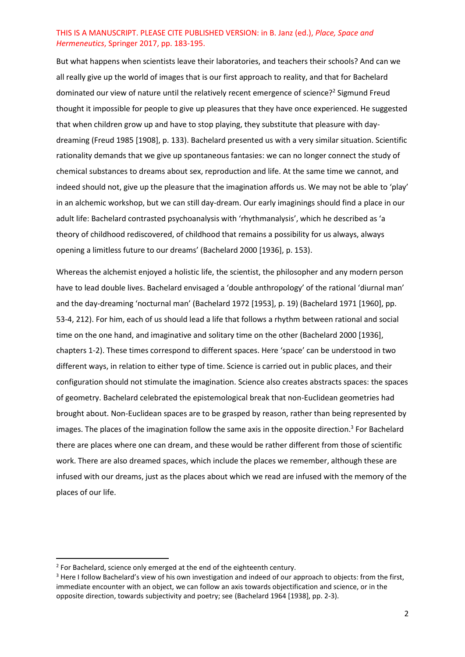But what happens when scientists leave their laboratories, and teachers their schools? And can we all really give up the world of images that is our first approach to reality, and that for Bachelard dominated our view of nature until the relatively recent emergence of science?<sup>2</sup> Sigmund Freud thought it impossible for people to give up pleasures that they have once experienced. He suggested that when children grow up and have to stop playing, they substitute that pleasure with daydreaming (Freud 1985 [1908], p. 133). Bachelard presented us with a very similar situation. Scientific rationality demands that we give up spontaneous fantasies: we can no longer connect the study of chemical substances to dreams about sex, reproduction and life. At the same time we cannot, and indeed should not, give up the pleasure that the imagination affords us. We may not be able to 'play' in an alchemic workshop, but we can still day-dream. Our early imaginings should find a place in our adult life: Bachelard contrasted psychoanalysis with 'rhythmanalysis', which he described as 'a theory of childhood rediscovered, of childhood that remains a possibility for us always, always opening a limitless future to our dreams' (Bachelard 2000 [1936], p. 153).

Whereas the alchemist enjoyed a holistic life, the scientist, the philosopher and any modern person have to lead double lives. Bachelard envisaged a 'double anthropology' of the rational 'diurnal man' and the day-dreaming 'nocturnal man' (Bachelard 1972 [1953], p. 19) (Bachelard 1971 [1960], pp. 53-4, 212). For him, each of us should lead a life that follows a rhythm between rational and social time on the one hand, and imaginative and solitary time on the other (Bachelard 2000 [1936], chapters 1-2). These times correspond to different spaces. Here 'space' can be understood in two different ways, in relation to either type of time. Science is carried out in public places, and their configuration should not stimulate the imagination. Science also creates abstracts spaces: the spaces of geometry. Bachelard celebrated the epistemological break that non-Euclidean geometries had brought about. Non-Euclidean spaces are to be grasped by reason, rather than being represented by images. The places of the imagination follow the same axis in the opposite direction.<sup>3</sup> For Bachelard there are places where one can dream, and these would be rather different from those of scientific work. There are also dreamed spaces, which include the places we remember, although these are infused with our dreams, just as the places about which we read are infused with the memory of the places of our life.

 $2$  For Bachelard, science only emerged at the end of the eighteenth century.

<sup>&</sup>lt;sup>3</sup> Here I follow Bachelard's view of his own investigation and indeed of our approach to objects: from the first, immediate encounter with an object, we can follow an axis towards objectification and science, or in the opposite direction, towards subjectivity and poetry; see (Bachelard 1964 [1938], pp. 2-3).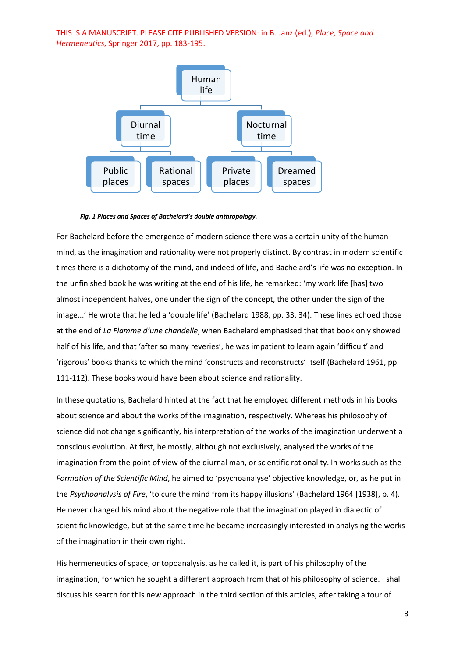

#### *Fig. 1 Places and Spaces of Bachelard's double anthropology.*

For Bachelard before the emergence of modern science there was a certain unity of the human mind, as the imagination and rationality were not properly distinct. By contrast in modern scientific times there is a dichotomy of the mind, and indeed of life, and Bachelard's life was no exception. In the unfinished book he was writing at the end of his life, he remarked: 'my work life [has] two almost independent halves, one under the sign of the concept, the other under the sign of the image...' He wrote that he led a 'double life' (Bachelard 1988, pp. 33, 34). These lines echoed those at the end of *La Flamme d'une chandelle*, when Bachelard emphasised that that book only showed half of his life, and that 'after so many reveries', he was impatient to learn again 'difficult' and 'rigorous' books thanks to which the mind 'constructs and reconstructs' itself (Bachelard 1961, pp. 111-112). These books would have been about science and rationality.

In these quotations, Bachelard hinted at the fact that he employed different methods in his books about science and about the works of the imagination, respectively. Whereas his philosophy of science did not change significantly, his interpretation of the works of the imagination underwent a conscious evolution. At first, he mostly, although not exclusively, analysed the works of the imagination from the point of view of the diurnal man, or scientific rationality. In works such as the *Formation of the Scientific Mind*, he aimed to 'psychoanalyse' objective knowledge, or, as he put in the *Psychoanalysis of Fire*, 'to cure the mind from its happy illusions' (Bachelard 1964 [1938], p. 4). He never changed his mind about the negative role that the imagination played in dialectic of scientific knowledge, but at the same time he became increasingly interested in analysing the works of the imagination in their own right.

His hermeneutics of space, or topoanalysis, as he called it, is part of his philosophy of the imagination, for which he sought a different approach from that of his philosophy of science. I shall discuss his search for this new approach in the third section of this articles, after taking a tour of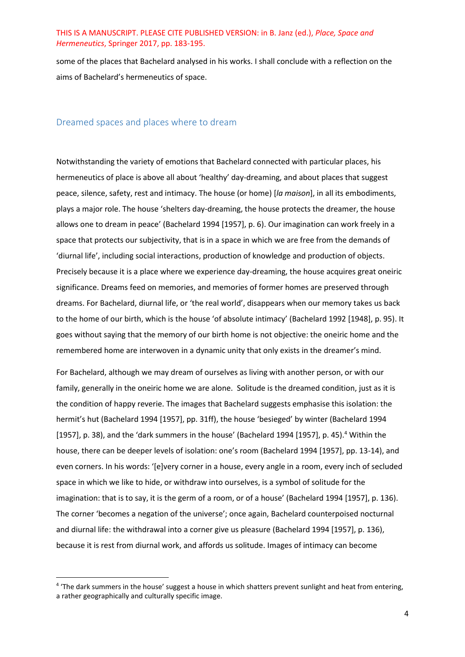some of the places that Bachelard analysed in his works. I shall conclude with a reflection on the aims of Bachelard's hermeneutics of space.

### Dreamed spaces and places where to dream

Notwithstanding the variety of emotions that Bachelard connected with particular places, his hermeneutics of place is above all about 'healthy' day-dreaming, and about places that suggest peace, silence, safety, rest and intimacy. The house (or home) [*la maison*], in all its embodiments, plays a major role. The house 'shelters day-dreaming, the house protects the dreamer, the house allows one to dream in peace' (Bachelard 1994 [1957], p. 6). Our imagination can work freely in a space that protects our subjectivity, that is in a space in which we are free from the demands of 'diurnal life', including social interactions, production of knowledge and production of objects. Precisely because it is a place where we experience day-dreaming, the house acquires great oneiric significance. Dreams feed on memories, and memories of former homes are preserved through dreams. For Bachelard, diurnal life, or 'the real world', disappears when our memory takes us back to the home of our birth, which is the house 'of absolute intimacy' (Bachelard 1992 [1948], p. 95). It goes without saying that the memory of our birth home is not objective: the oneiric home and the remembered home are interwoven in a dynamic unity that only exists in the dreamer's mind.

For Bachelard, although we may dream of ourselves as living with another person, or with our family, generally in the oneiric home we are alone. Solitude is the dreamed condition, just as it is the condition of happy reverie. The images that Bachelard suggests emphasise this isolation: the hermit's hut (Bachelard 1994 [1957], pp. 31ff), the house 'besieged' by winter (Bachelard 1994 [1957], p. 38), and the 'dark summers in the house' (Bachelard 1994 [1957], p. 45). <sup>4</sup> Within the house, there can be deeper levels of isolation: one's room (Bachelard 1994 [1957], pp. 13-14), and even corners. In his words: '[e]very corner in a house, every angle in a room, every inch of secluded space in which we like to hide, or withdraw into ourselves, is a symbol of solitude for the imagination: that is to say, it is the germ of a room, or of a house' (Bachelard 1994 [1957], p. 136). The corner 'becomes a negation of the universe'; once again, Bachelard counterpoised nocturnal and diurnal life: the withdrawal into a corner give us pleasure (Bachelard 1994 [1957], p. 136), because it is rest from diurnal work, and affords us solitude. Images of intimacy can become

<sup>&</sup>lt;sup>4</sup> 'The dark summers in the house' suggest a house in which shatters prevent sunlight and heat from entering, a rather geographically and culturally specific image.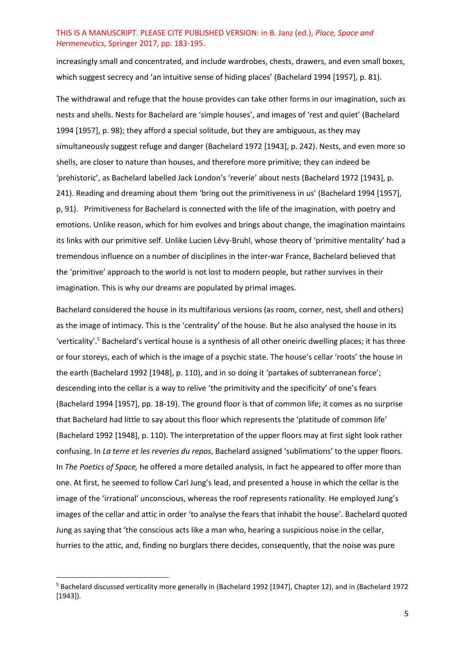increasingly small and concentrated, and include wardrobes, chests, drawers, and even small boxes, which suggest secrecy and 'an intuitive sense of hiding places' (Bachelard 1994 [1957], p. 81).

The withdrawal and refuge that the house provides can take other forms in our imagination, such as nests and shells. Nests for Bachelard are 'simple houses', and images of 'rest and quiet' (Bachelard 1994 [1957], p. 98); they afford a special solitude, but they are ambiguous, as they may simultaneously suggest refuge and danger (Bachelard 1972 [1943], p. 242). Nests, and even more so shells, are closer to nature than houses, and therefore more primitive; they can indeed be 'prehistoric', as Bachelard labelled Jack London's 'reverie' about nests (Bachelard 1972 [1943], p. 241). Reading and dreaming about them 'bring out the primitiveness in us' (Bachelard 1994 [1957], p, 91). Primitiveness for Bachelard is connected with the life of the imagination, with poetry and emotions. Unlike reason, which for him evolves and brings about change, the imagination maintains its links with our primitive self. Unlike Lucien Lévy-Bruhl, whose theory of 'primitive mentality' had a tremendous influence on a number of disciplines in the inter-war France, Bachelard believed that the 'primitive' approach to the world is not lost to modern people, but rather survives in their imagination. This is why our dreams are populated by primal images.

Bachelard considered the house in its multifarious versions (as room, corner, nest, shell and others) as the image of intimacy. This is the 'centrality' of the house. But he also analysed the house in its 'verticality'.<sup>5</sup> Bachelard's vertical house is a synthesis of all other oneiric dwelling places; it has three or four storeys, each of which is the image of a psychic state. The house's cellar 'roots' the house in the earth (Bachelard 1992 [1948], p. 110), and in so doing it 'partakes of subterranean force'; descending into the cellar is a way to relive 'the primitivity and the specificity' of one's fears (Bachelard 1994 [1957], pp. 18-19). The ground floor is that of common life; it comes as no surprise that Bachelard had little to say about this floor which represents the 'platitude of common life' (Bachelard 1992 [1948], p. 110). The interpretation of the upper floors may at first sight look rather confusing. In *La terre et les reveries du repos*, Bachelard assigned 'sublimations' to the upper floors. In *The Poetics of Space,* he offered a more detailed analysis, in fact he appeared to offer more than one. At first, he seemed to follow Carl Jung's lead, and presented a house in which the cellar is the image of the 'irrational' unconscious, whereas the roof represents rationality. He employed Jung's images of the cellar and attic in order 'to analyse the fears that inhabit the house'. Bachelard quoted Jung as saying that 'the conscious acts like a man who, hearing a suspicious noise in the cellar, hurries to the attic, and, finding no burglars there decides, consequently, that the noise was pure

<sup>5</sup> Bachelard discussed verticality more generally in (Bachelard 1992 [1947], Chapter 12), and in (Bachelard 1972 [1943]).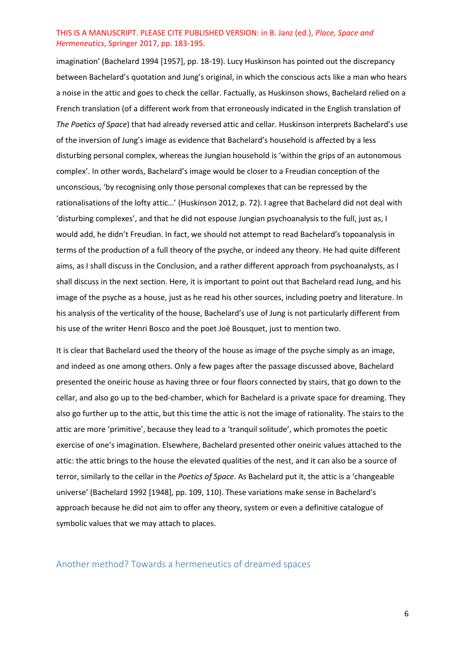imagination' (Bachelard 1994 [1957], pp. 18-19). Lucy Huskinson has pointed out the discrepancy between Bachelard's quotation and Jung's original, in which the conscious acts like a man who hears a noise in the attic and goes to check the cellar. Factually, as Huskinson shows, Bachelard relied on a French translation (of a different work from that erroneously indicated in the English translation of *The Poetics of Space*) that had already reversed attic and cellar. Huskinson interprets Bachelard's use of the inversion of Jung's image as evidence that Bachelard's household is affected by a less disturbing personal complex, whereas the Jungian household is 'within the grips of an autonomous complex'. In other words, Bachelard's image would be closer to a Freudian conception of the unconscious, 'by recognising only those personal complexes that can be repressed by the rationalisations of the lofty attic…' (Huskinson 2012, p. 72). I agree that Bachelard did not deal with 'disturbing complexes', and that he did not espouse Jungian psychoanalysis to the full, just as, I would add, he didn't Freudian. In fact, we should not attempt to read Bachelard's topoanalysis in terms of the production of a full theory of the psyche, or indeed any theory. He had quite different aims, as I shall discuss in the Conclusion, and a rather different approach from psychoanalysts, as I shall discuss in the next section. Here, it is important to point out that Bachelard read Jung, and his image of the psyche as a house, just as he read his other sources, including poetry and literature. In his analysis of the verticality of the house, Bachelard's use of Jung is not particularly different from his use of the writer Henri Bosco and the poet Joë Bousquet, just to mention two.

It is clear that Bachelard used the theory of the house as image of the psyche simply as an image, and indeed as one among others. Only a few pages after the passage discussed above, Bachelard presented the oneiric house as having three or four floors connected by stairs, that go down to the cellar, and also go up to the bed-chamber, which for Bachelard is a private space for dreaming. They also go further up to the attic, but this time the attic is not the image of rationality. The stairs to the attic are more 'primitive', because they lead to a 'tranquil solitude', which promotes the poetic exercise of one's imagination. Elsewhere, Bachelard presented other oneiric values attached to the attic: the attic brings to the house the elevated qualities of the nest, and it can also be a source of terror, similarly to the cellar in the *Poetics of Space*. As Bachelard put it, the attic is a 'changeable universe' (Bachelard 1992 [1948], pp. 109, 110). These variations make sense in Bachelard's approach because he did not aim to offer any theory, system or even a definitive catalogue of symbolic values that we may attach to places.

Another method? Towards a hermeneutics of dreamed spaces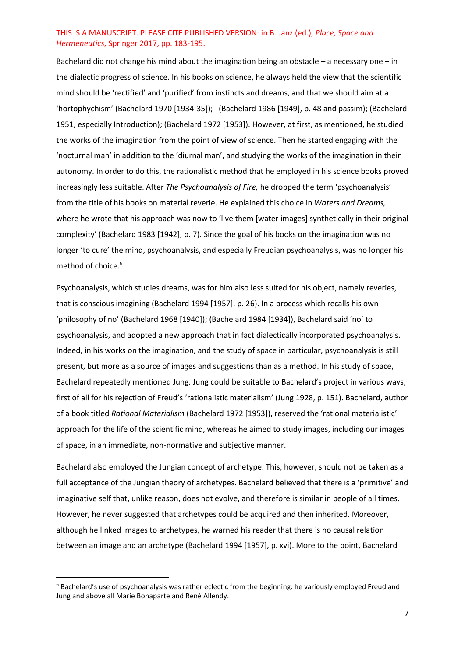Bachelard did not change his mind about the imagination being an obstacle  $-$  a necessary one  $-$  in the dialectic progress of science. In his books on science, he always held the view that the scientific mind should be 'rectified' and 'purified' from instincts and dreams, and that we should aim at a 'hortophychism' (Bachelard 1970 [1934-35]); (Bachelard 1986 [1949], p. 48 and passim); (Bachelard 1951, especially Introduction); (Bachelard 1972 [1953]). However, at first, as mentioned, he studied the works of the imagination from the point of view of science. Then he started engaging with the 'nocturnal man' in addition to the 'diurnal man', and studying the works of the imagination in their autonomy. In order to do this, the rationalistic method that he employed in his science books proved increasingly less suitable. After *The Psychoanalysis of Fire,* he dropped the term 'psychoanalysis' from the title of his books on material reverie. He explained this choice in *Waters and Dreams,* where he wrote that his approach was now to 'live them [water images] synthetically in their original complexity' (Bachelard 1983 [1942], p. 7). Since the goal of his books on the imagination was no longer 'to cure' the mind, psychoanalysis, and especially Freudian psychoanalysis, was no longer his method of choice. 6

Psychoanalysis, which studies dreams, was for him also less suited for his object, namely reveries, that is conscious imagining (Bachelard 1994 [1957], p. 26). In a process which recalls his own 'philosophy of no' (Bachelard 1968 [1940]); (Bachelard 1984 [1934]), Bachelard said 'no' to psychoanalysis, and adopted a new approach that in fact dialectically incorporated psychoanalysis. Indeed, in his works on the imagination, and the study of space in particular, psychoanalysis is still present, but more as a source of images and suggestions than as a method. In his study of space, Bachelard repeatedly mentioned Jung. Jung could be suitable to Bachelard's project in various ways, first of all for his rejection of Freud's 'rationalistic materialism' (Jung 1928, p. 151). Bachelard, author of a book titled *Rational Materialism* (Bachelard 1972 [1953]), reserved the 'rational materialistic' approach for the life of the scientific mind, whereas he aimed to study images, including our images of space, in an immediate, non-normative and subjective manner.

Bachelard also employed the Jungian concept of archetype. This, however, should not be taken as a full acceptance of the Jungian theory of archetypes. Bachelard believed that there is a 'primitive' and imaginative self that, unlike reason, does not evolve, and therefore is similar in people of all times. However, he never suggested that archetypes could be acquired and then inherited. Moreover, although he linked images to archetypes, he warned his reader that there is no causal relation between an image and an archetype (Bachelard 1994 [1957], p. xvi). More to the point, Bachelard

 $6$  Bachelard's use of psychoanalysis was rather eclectic from the beginning: he variously employed Freud and Jung and above all Marie Bonaparte and René Allendy.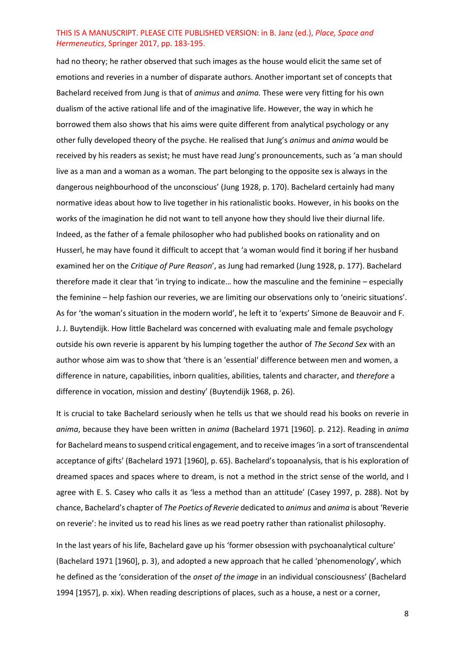had no theory; he rather observed that such images as the house would elicit the same set of emotions and reveries in a number of disparate authors. Another important set of concepts that Bachelard received from Jung is that of *animus* and *anima.* These were very fitting for his own dualism of the active rational life and of the imaginative life. However, the way in which he borrowed them also shows that his aims were quite different from analytical psychology or any other fully developed theory of the psyche. He realised that Jung's *animus* and *anima* would be received by his readers as sexist; he must have read Jung's pronouncements, such as 'a man should live as a man and a woman as a woman. The part belonging to the opposite sex is always in the dangerous neighbourhood of the unconscious' (Jung 1928, p. 170). Bachelard certainly had many normative ideas about how to live together in his rationalistic books. However, in his books on the works of the imagination he did not want to tell anyone how they should live their diurnal life. Indeed, as the father of a female philosopher who had published books on rationality and on Husserl, he may have found it difficult to accept that 'a woman would find it boring if her husband examined her on the *Critique of Pure Reason*', as Jung had remarked (Jung 1928, p. 177). Bachelard therefore made it clear that 'in trying to indicate… how the masculine and the feminine – especially the feminine – help fashion our reveries, we are limiting our observations only to 'oneiric situations'. As for 'the woman's situation in the modern world', he left it to 'experts' Simone de Beauvoir and F. J. J. Buytendijk. How little Bachelard was concerned with evaluating male and female psychology outside his own reverie is apparent by his lumping together the author of *The Second Sex* with an author whose aim was to show that 'there is an 'essential' difference between men and women, a difference in nature, capabilities, inborn qualities, abilities, talents and character, and *therefore* a difference in vocation, mission and destiny' (Buytendijk 1968, p. 26).

It is crucial to take Bachelard seriously when he tells us that we should read his books on reverie in *anima*, because they have been written in *anima* (Bachelard 1971 [1960]. p. 212). Reading in *anima*  for Bachelard means to suspend critical engagement, and to receive images 'in a sort of transcendental acceptance of gifts' (Bachelard 1971 [1960], p. 65). Bachelard's topoanalysis, that is his exploration of dreamed spaces and spaces where to dream, is not a method in the strict sense of the world, and I agree with E. S. Casey who calls it as 'less a method than an attitude' (Casey 1997, p. 288). Not by chance, Bachelard's chapter of *The Poetics of Reverie* dedicated to *animus* and *anima* is about 'Reverie on reverie': he invited us to read his lines as we read poetry rather than rationalist philosophy.

In the last years of his life, Bachelard gave up his 'former obsession with psychoanalytical culture' (Bachelard 1971 [1960], p. 3), and adopted a new approach that he called 'phenomenology', which he defined as the 'consideration of the *onset of the image* in an individual consciousness' (Bachelard 1994 [1957], p. xix). When reading descriptions of places, such as a house, a nest or a corner,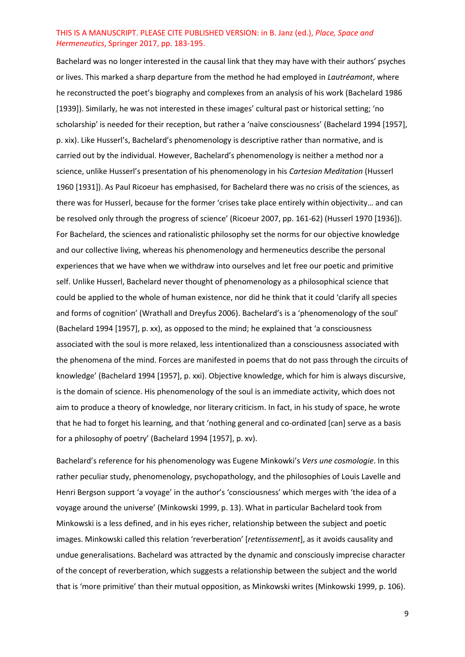Bachelard was no longer interested in the causal link that they may have with their authors' psyches or lives. This marked a sharp departure from the method he had employed in *Lautréamont*, where he reconstructed the poet's biography and complexes from an analysis of his work (Bachelard 1986 [1939]). Similarly, he was not interested in these images' cultural past or historical setting; 'no scholarship' is needed for their reception, but rather a 'naïve consciousness' (Bachelard 1994 [1957], p. xix). Like Husserl's, Bachelard's phenomenology is descriptive rather than normative, and is carried out by the individual. However, Bachelard's phenomenology is neither a method nor a science, unlike Husserl's presentation of his phenomenology in his *Cartesian Meditation* (Husserl 1960 [1931]). As Paul Ricoeur has emphasised, for Bachelard there was no crisis of the sciences, as there was for Husserl, because for the former 'crises take place entirely within objectivity… and can be resolved only through the progress of science' (Ricoeur 2007, pp. 161-62) (Husserl 1970 [1936]). For Bachelard, the sciences and rationalistic philosophy set the norms for our objective knowledge and our collective living, whereas his phenomenology and hermeneutics describe the personal experiences that we have when we withdraw into ourselves and let free our poetic and primitive self. Unlike Husserl, Bachelard never thought of phenomenology as a philosophical science that could be applied to the whole of human existence, nor did he think that it could 'clarify all species and forms of cognition' (Wrathall and Dreyfus 2006). Bachelard's is a 'phenomenology of the soul' (Bachelard 1994 [1957], p. xx), as opposed to the mind; he explained that 'a consciousness associated with the soul is more relaxed, less intentionalized than a consciousness associated with the phenomena of the mind. Forces are manifested in poems that do not pass through the circuits of knowledge' (Bachelard 1994 [1957], p. xxi). Objective knowledge, which for him is always discursive, is the domain of science. His phenomenology of the soul is an immediate activity, which does not aim to produce a theory of knowledge, nor literary criticism. In fact, in his study of space, he wrote that he had to forget his learning, and that 'nothing general and co-ordinated [can] serve as a basis for a philosophy of poetry' (Bachelard 1994 [1957], p. xv).

Bachelard's reference for his phenomenology was Eugene Minkowki's *Vers une cosmologie*. In this rather peculiar study, phenomenology, psychopathology, and the philosophies of Louis Lavelle and Henri Bergson support 'a voyage' in the author's 'consciousness' which merges with 'the idea of a voyage around the universe' (Minkowski 1999, p. 13). What in particular Bachelard took from Minkowski is a less defined, and in his eyes richer, relationship between the subject and poetic images. Minkowski called this relation 'reverberation' [*retentissement*], as it avoids causality and undue generalisations. Bachelard was attracted by the dynamic and consciously imprecise character of the concept of reverberation, which suggests a relationship between the subject and the world that is 'more primitive' than their mutual opposition, as Minkowski writes (Minkowski 1999, p. 106).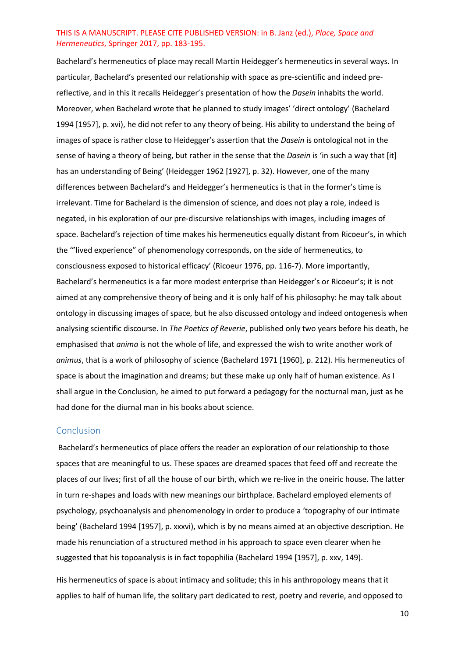Bachelard's hermeneutics of place may recall Martin Heidegger's hermeneutics in several ways. In particular, Bachelard's presented our relationship with space as pre-scientific and indeed prereflective, and in this it recalls Heidegger's presentation of how the *Dasein* inhabits the world. Moreover, when Bachelard wrote that he planned to study images' 'direct ontology' (Bachelard 1994 [1957], p. xvi), he did not refer to any theory of being. His ability to understand the being of images of space is rather close to Heidegger's assertion that the *Dasein* is ontological not in the sense of having a theory of being, but rather in the sense that the *Dasein* is 'in such a way that [it] has an understanding of Being' (Heidegger 1962 [1927], p. 32). However, one of the many differences between Bachelard's and Heidegger's hermeneutics is that in the former's time is irrelevant. Time for Bachelard is the dimension of science, and does not play a role, indeed is negated, in his exploration of our pre-discursive relationships with images, including images of space. Bachelard's rejection of time makes his hermeneutics equally distant from Ricoeur's, in which the '"lived experience" of phenomenology corresponds, on the side of hermeneutics, to consciousness exposed to historical efficacy' (Ricoeur 1976, pp. 116-7). More importantly, Bachelard's hermeneutics is a far more modest enterprise than Heidegger's or Ricoeur's; it is not aimed at any comprehensive theory of being and it is only half of his philosophy: he may talk about ontology in discussing images of space, but he also discussed ontology and indeed ontogenesis when analysing scientific discourse. In *The Poetics of Reverie*, published only two years before his death, he emphasised that *anima* is not the whole of life, and expressed the wish to write another work of *animus*, that is a work of philosophy of science (Bachelard 1971 [1960], p. 212). His hermeneutics of space is about the imagination and dreams; but these make up only half of human existence. As I shall argue in the Conclusion, he aimed to put forward a pedagogy for the nocturnal man, just as he had done for the diurnal man in his books about science.

#### Conclusion

Bachelard's hermeneutics of place offers the reader an exploration of our relationship to those spaces that are meaningful to us. These spaces are dreamed spaces that feed off and recreate the places of our lives; first of all the house of our birth, which we re-live in the oneiric house. The latter in turn re-shapes and loads with new meanings our birthplace. Bachelard employed elements of psychology, psychoanalysis and phenomenology in order to produce a 'topography of our intimate being' (Bachelard 1994 [1957], p. xxxvi), which is by no means aimed at an objective description. He made his renunciation of a structured method in his approach to space even clearer when he suggested that his topoanalysis is in fact topophilia (Bachelard 1994 [1957], p. xxv, 149).

His hermeneutics of space is about intimacy and solitude; this in his anthropology means that it applies to half of human life, the solitary part dedicated to rest, poetry and reverie, and opposed to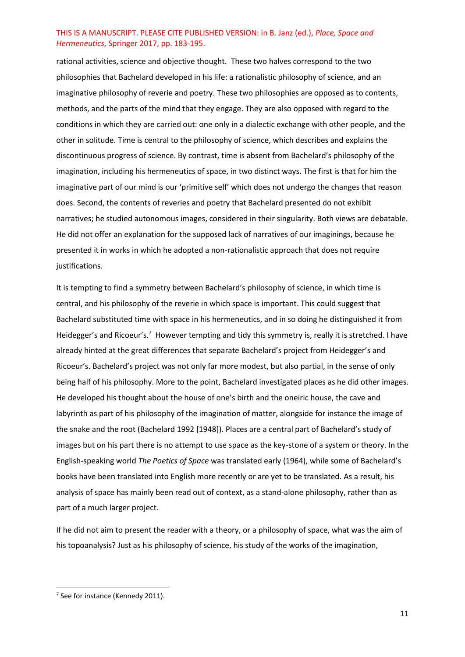rational activities, science and objective thought. These two halves correspond to the two philosophies that Bachelard developed in his life: a rationalistic philosophy of science, and an imaginative philosophy of reverie and poetry. These two philosophies are opposed as to contents, methods, and the parts of the mind that they engage. They are also opposed with regard to the conditions in which they are carried out: one only in a dialectic exchange with other people, and the other in solitude. Time is central to the philosophy of science, which describes and explains the discontinuous progress of science. By contrast, time is absent from Bachelard's philosophy of the imagination, including his hermeneutics of space, in two distinct ways. The first is that for him the imaginative part of our mind is our 'primitive self' which does not undergo the changes that reason does. Second, the contents of reveries and poetry that Bachelard presented do not exhibit narratives; he studied autonomous images, considered in their singularity. Both views are debatable. He did not offer an explanation for the supposed lack of narratives of our imaginings, because he presented it in works in which he adopted a non-rationalistic approach that does not require justifications.

It is tempting to find a symmetry between Bachelard's philosophy of science, in which time is central, and his philosophy of the reverie in which space is important. This could suggest that Bachelard substituted time with space in his hermeneutics, and in so doing he distinguished it from Heidegger's and Ricoeur's.<sup>7</sup> However tempting and tidy this symmetry is, really it is stretched. I have already hinted at the great differences that separate Bachelard's project from Heidegger's and Ricoeur's. Bachelard's project was not only far more modest, but also partial, in the sense of only being half of his philosophy. More to the point, Bachelard investigated places as he did other images. He developed his thought about the house of one's birth and the oneiric house, the cave and labyrinth as part of his philosophy of the imagination of matter, alongside for instance the image of the snake and the root (Bachelard 1992 [1948]). Places are a central part of Bachelard's study of images but on his part there is no attempt to use space as the key-stone of a system or theory. In the English-speaking world *The Poetics of Space* was translated early (1964), while some of Bachelard's books have been translated into English more recently or are yet to be translated. As a result, his analysis of space has mainly been read out of context, as a stand-alone philosophy, rather than as part of a much larger project.

If he did not aim to present the reader with a theory, or a philosophy of space, what was the aim of his topoanalysis? Just as his philosophy of science, his study of the works of the imagination,

**.** 

11

<sup>&</sup>lt;sup>7</sup> See for instance (Kennedy 2011).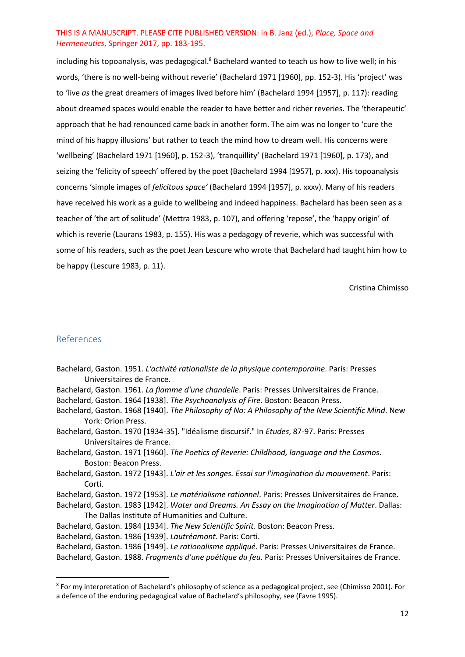including his topoanalysis, was pedagogical.<sup>8</sup> Bachelard wanted to teach us how to live well; in his words, 'there is no well-being without reverie' (Bachelard 1971 [1960], pp. 152-3). His 'project' was to 'live *as* the great dreamers of images lived before him' (Bachelard 1994 [1957], p. 117): reading about dreamed spaces would enable the reader to have better and richer reveries. The 'therapeutic' approach that he had renounced came back in another form. The aim was no longer to 'cure the mind of his happy illusions' but rather to teach the mind how to dream well. His concerns were 'wellbeing' (Bachelard 1971 [1960], p. 152-3), 'tranquillity' (Bachelard 1971 [1960], p. 173), and seizing the 'felicity of speech' offered by the poet (Bachelard 1994 [1957], p. xxx). His topoanalysis concerns 'simple images of *felicitous space'* (Bachelard 1994 [1957], p. xxxv). Many of his readers have received his work as a guide to wellbeing and indeed happiness. Bachelard has been seen as a teacher of 'the art of solitude' (Mettra 1983, p. 107), and offering 'repose', the 'happy origin' of which is reverie (Laurans 1983, p. 155). His was a pedagogy of reverie, which was successful with some of his readers, such as the poet Jean Lescure who wrote that Bachelard had taught him how to be happy (Lescure 1983, p. 11).

Cristina Chimisso

### References

**.** 

Bachelard, Gaston. 1951. *L'activité rationaliste de la physique contemporaine*. Paris: Presses Universitaires de France. Bachelard, Gaston. 1961. *La flamme d'une chandelle*. Paris: Presses Universitaires de France. Bachelard, Gaston. 1964 [1938]. *The Psychoanalysis of Fire*. Boston: Beacon Press. Bachelard, Gaston. 1968 [1940]. *The Philosophy of No: A Philosophy of the New Scientific Mind*. New York: Orion Press. Bachelard, Gaston. 1970 [1934-35]. "Idéalisme discursif." In *Etudes*, 87-97. Paris: Presses Universitaires de France. Bachelard, Gaston. 1971 [1960]. *The Poetics of Reverie: Childhood, language and the Cosmos*. Boston: Beacon Press. Bachelard, Gaston. 1972 [1943]. *L'air et les songes. Essai sur l'imagination du mouvement*. Paris: Corti. Bachelard, Gaston. 1972 [1953]. *Le matérialisme rationnel*. Paris: Presses Universitaires de France. Bachelard, Gaston. 1983 [1942]. *Water and Dreams. An Essay on the Imagination of Matter*. Dallas: The Dallas Institute of Humanities and Culture. Bachelard, Gaston. 1984 [1934]. *The New Scientific Spirit*. Boston: Beacon Press. Bachelard, Gaston. 1986 [1939]. *Lautréamont*. Paris: Corti. Bachelard, Gaston. 1986 [1949]. *Le rationalisme appliqué*. Paris: Presses Universitaires de France. Bachelard, Gaston. 1988. *Fragments d'une poétique du feu*. Paris: Presses Universitaires de France.

<sup>&</sup>lt;sup>8</sup> For my interpretation of Bachelard's philosophy of science as a pedagogical project, see (Chimisso 2001). For a defence of the enduring pedagogical value of Bachelard's philosophy, see (Favre 1995).